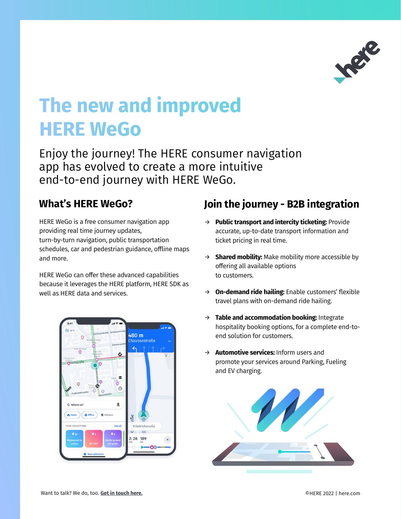

# The new and improved **HERE WeGo**

Enjoy the journey! The HERE consumer navigation app has evolved to create a more intuitive end-to-end journey with HERE WeGo.

### **What's HERE WeGo?**

HERE WeGo is a free consumer navigation app providing real time journey updates, turn-by-turn navigation, public transportation schedules, car and pedestrian guidance, offline maps and more.

HERE WeGo can offer these advanced capabilities because it leverages the HERE platform, HERE SDK as well as HERE data and services.



## **Join the journey - B2B integration**

- → **Public transport and intercity ticketing:** Provide accurate, up-to-date transport information and ticket pricing in real time.
- → **Shared mobility:** Make mobility more accessible by offering all available options to customers.
- → **On-demand ride hailing:** Enable customers' flexible travel plans with on-demand ride hailing.
- → **Table and accommodation booking:** Integrate hospitality booking options, for a complete end-toend solution for customers.
- → **Automotive services:** Inform users and promote your services around Parking, Fueling and EV charging.